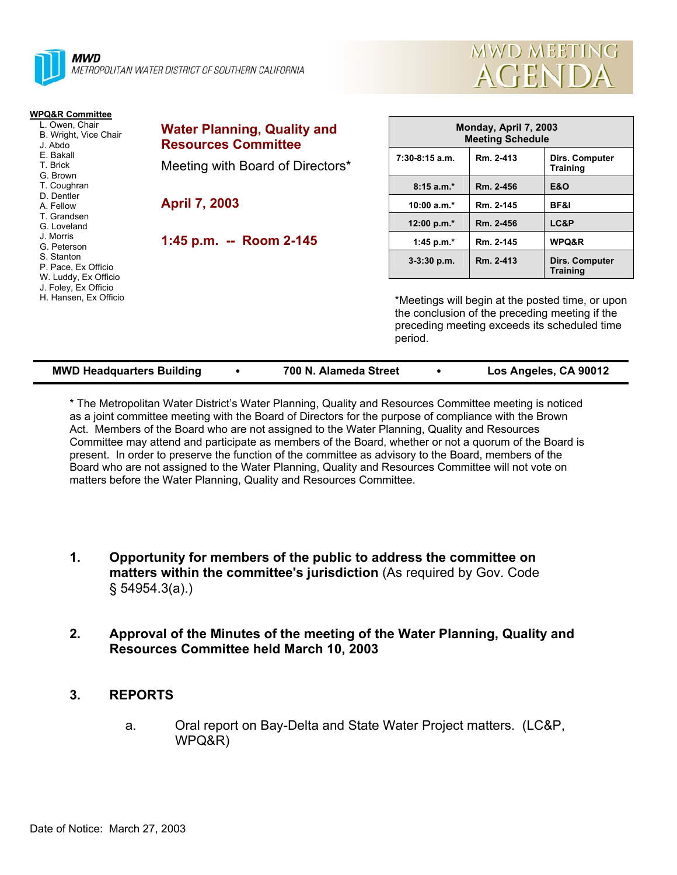



| <b>WPQ&amp;R Committee</b>                                |                                                                  |                                                  |           |                                                                                                                                                    |
|-----------------------------------------------------------|------------------------------------------------------------------|--------------------------------------------------|-----------|----------------------------------------------------------------------------------------------------------------------------------------------------|
| L. Owen, Chair<br>B. Wright, Vice Chair<br>J. Abdo        | <b>Water Planning, Quality and</b><br><b>Resources Committee</b> | Monday, April 7, 2003<br><b>Meeting Schedule</b> |           |                                                                                                                                                    |
| E. Bakall<br>T. Brick<br>G. Brown                         | Meeting with Board of Directors*                                 | $7:30-8:15$ a.m.                                 | Rm. 2-413 | Dirs. Computer<br>Training                                                                                                                         |
| T. Coughran                                               |                                                                  | $8:15a.m.*$                                      | Rm. 2-456 | <b>E&amp;O</b>                                                                                                                                     |
| D. Dentler<br>A. Fellow                                   | <b>April 7, 2003</b>                                             | $10:00 a.m.*$                                    | Rm. 2-145 | BF&I                                                                                                                                               |
| T. Grandsen<br>G. Loveland                                |                                                                  | 12:00 p.m.*                                      | Rm. 2-456 | LC&P                                                                                                                                               |
| J. Morris<br>G. Peterson                                  | 1:45 p.m. -- Room 2-145                                          | 1:45 p.m. $*$                                    | Rm. 2-145 | WPQ&R                                                                                                                                              |
| S. Stanton<br>P. Pace, Ex Officio<br>W. Luddy, Ex Officio |                                                                  | $3-3:30$ p.m.                                    | Rm. 2-413 | Dirs. Computer<br><b>Training</b>                                                                                                                  |
| J. Foley, Ex Officio<br>H. Hansen, Ex Officio             |                                                                  | period.                                          |           | *Meetings will begin at the posted time, or upon<br>the conclusion of the preceding meeting if the<br>preceding meeting exceeds its scheduled time |

| <b>MWD Headquarters Building</b> | 700 N. Alameda Street | Los Angeles, CA 90012 |
|----------------------------------|-----------------------|-----------------------|

\* The Metropolitan Water District's Water Planning, Quality and Resources Committee meeting is noticed as a joint committee meeting with the Board of Directors for the purpose of compliance with the Brown Act. Members of the Board who are not assigned to the Water Planning, Quality and Resources Committee may attend and participate as members of the Board, whether or not a quorum of the Board is present. In order to preserve the function of the committee as advisory to the Board, members of the Board who are not assigned to the Water Planning, Quality and Resources Committee will not vote on matters before the Water Planning, Quality and Resources Committee.

- **1. Opportunity for members of the public to address the committee on matters within the committee's jurisdiction** (As required by Gov. Code § 54954.3(a).)
- **2. Approval of the Minutes of the meeting of the Water Planning, Quality and Resources Committee held March 10, 2003**
- **3. REPORTS** 
	- a. Oral report on Bay-Delta and State Water Project matters. (LC&P, WPQ&R)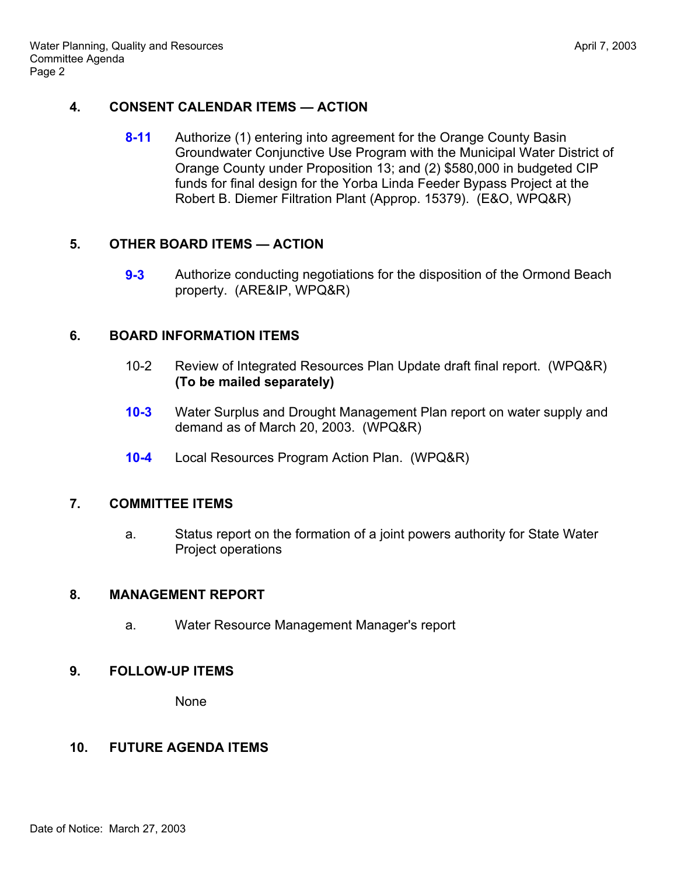### **4. CONSENT CALENDAR ITEMS — ACTION**

**8-11** Authorize (1) entering into agreement for the Orange County Basin Groundwater Conjunctive Use Program with the Municipal Water District of Orange County under Proposition 13; and (2) \$580,000 in budgeted CIP funds for final design for the Yorba Linda Feeder Bypass Project at the Robert B. Diemer Filtration Plant (Approp. 15379). (E&O, WPQ&R)

# **5. OTHER BOARD ITEMS — ACTION**

**9-3** Authorize conducting negotiations for the disposition of the Ormond Beach property. (ARE&IP, WPQ&R)

### **6. BOARD INFORMATION ITEMS**

- 10-2 Review of Integrated Resources Plan Update draft final report. (WPQ&R) **(To be mailed separately)**
- **10-3** Water Surplus and Drought Management Plan report on water supply and demand as of March 20, 2003. (WPQ&R)
- **10-4** Local Resources Program Action Plan. (WPQ&R)

#### **7. COMMITTEE ITEMS**

 a. Status report on the formation of a joint powers authority for State Water Project operations

#### **8. MANAGEMENT REPORT**

a. Water Resource Management Manager's report

#### **9. FOLLOW-UP ITEMS**

None

#### **10. FUTURE AGENDA ITEMS**